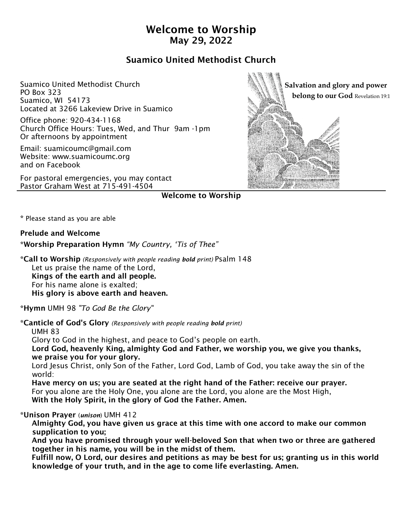# Welcome to Worship May 29, 2022

# Suamico United Methodist Church

Suamico United Methodist Church PO Box 323 Suamico, WI 54173 Located at 3266 Lakeview Drive in Suamico

Office phone: 920-434-1168 Church Office Hours: Tues, Wed, and Thur 9am -1pm Or afternoons by appointment

Email: suamicoumc@gmail.com Website: www.suamicoumc.org and on Facebook

For pastoral emergencies, you may contact Pastor Graham West at 715-491-4504



Welcome to Worship

\* Please stand as you are able

### Prelude and Welcome

\*Worship Preparation Hymn *"My Country, 'Tis of Thee"*

\*Call to Worship *(Responsively with people reading bold print)* Psalm 148 Let us praise the name of the Lord, Kings of the earth and all people. For his name alone is exalted; His glory is above earth and heaven.

\*Hymn UMH 98 *"To God Be the Glory"*

\*Canticle of God's Glory *(Responsively with people reading bold print)* 

UMH 83

Glory to God in the highest, and peace to God's people on earth.

 Lord God, heavenly King, almighty God and Father, we worship you, we give you thanks, we praise you for your glory.

 Lord Jesus Christ, only Son of the Father, Lord God, Lamb of God, you take away the sin of the world:

 Have mercy on us; you are seated at the right hand of the Father: receive our prayer. For you alone are the Holy One, you alone are the Lord, you alone are the Most High, With the Holy Spirit, in the glory of God the Father. Amen.

## \*Unison Prayer (*unison*) UMH 412

 Almighty God, you have given us grace at this time with one accord to make our common supplication to you;

 And you have promised through your well-beloved Son that when two or three are gathered together in his name, you will be in the midst of them.

 Fulfill now, O Lord, our desires and petitions as may be best for us; granting us in this world knowledge of your truth, and in the age to come life everlasting. Amen.